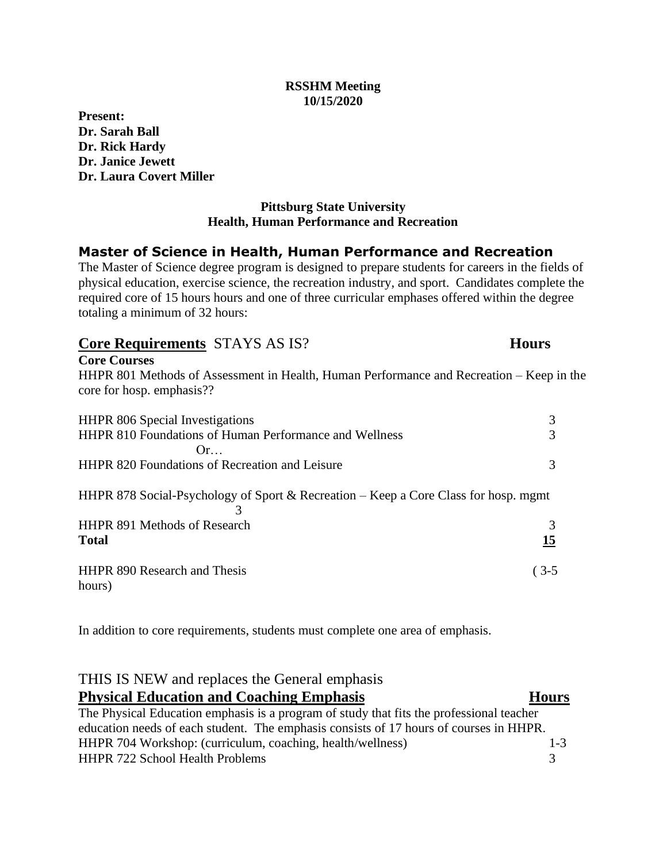#### **RSSHM Meeting 10/15/2020**

**Present: Dr. Sarah Ball Dr. Rick Hardy Dr. Janice Jewett Dr. Laura Covert Miller**

### **Pittsburg State University Health, Human Performance and Recreation**

# **Master of Science in Health, Human Performance and Recreation**

The Master of Science degree program is designed to prepare students for careers in the fields of physical education, exercise science, the recreation industry, and sport. Candidates complete the required core of 15 hours hours and one of three curricular emphases offered within the degree totaling a minimum of 32 hours:

| <b>Core Requirements STAYS AS IS?</b>                                                                                 | <b>Hours</b> |
|-----------------------------------------------------------------------------------------------------------------------|--------------|
| <b>Core Courses</b>                                                                                                   |              |
| HHPR 801 Methods of Assessment in Health, Human Performance and Recreation – Keep in the<br>core for hosp. emphasis?? |              |
| <b>HHPR</b> 806 Special Investigations                                                                                | 3            |
| <b>HHPR 810 Foundations of Human Performance and Wellness</b>                                                         | 3            |
| Or                                                                                                                    |              |
| <b>HHPR 820 Foundations of Recreation and Leisure</b>                                                                 | 3            |
| HHPR 878 Social-Psychology of Sport & Recreation – Keep a Core Class for hosp. mgmt                                   |              |
| <b>HHPR 891 Methods of Research</b>                                                                                   | 3            |
| <b>Total</b>                                                                                                          | <u>15</u>    |
| <b>HHPR 890 Research and Thesis</b><br>hours)                                                                         | $(3-5)$      |

In addition to core requirements, students must complete one area of emphasis.

## THIS IS NEW and replaces the General emphasis **Physical Education and Coaching Emphasis Hours**

## The Physical Education emphasis is a program of study that fits the professional teacher education needs of each student. The emphasis consists of 17 hours of courses in HHPR. HHPR 704 Workshop: (curriculum, coaching, health/wellness) 1-3 HHPR 722 School Health Problems 3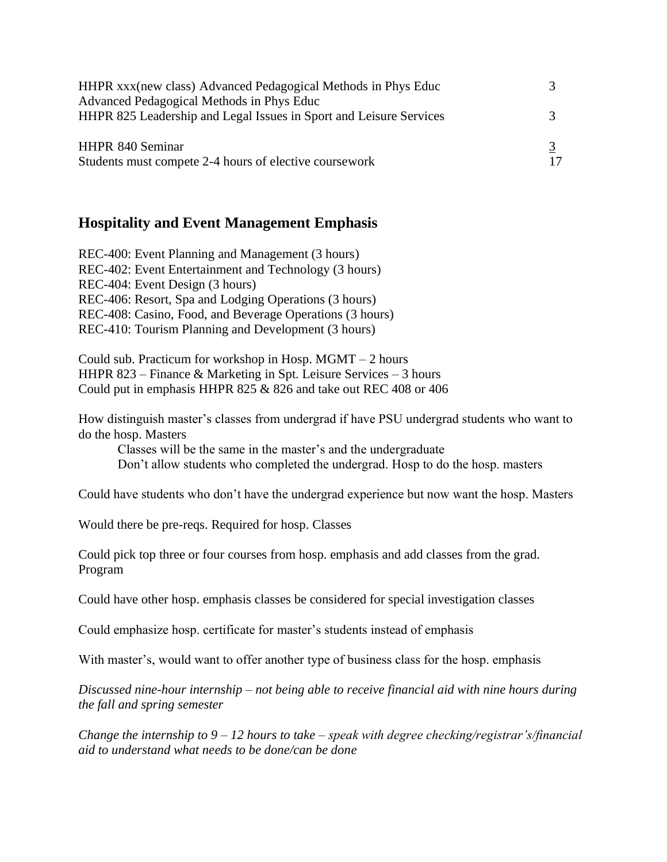| HHPR xxx(new class) Advanced Pedagogical Methods in Phys Educ<br>Advanced Pedagogical Methods in Phys Educ |    |
|------------------------------------------------------------------------------------------------------------|----|
| HHPR 825 Leadership and Legal Issues in Sport and Leisure Services                                         |    |
| HHPR 840 Seminar<br>Students must compete 2-4 hours of elective coursework                                 | 17 |

## **Hospitality and Event Management Emphasis**

REC-400: Event Planning and Management (3 hours) REC-402: Event Entertainment and Technology (3 hours) REC-404: Event Design (3 hours) REC-406: Resort, Spa and Lodging Operations (3 hours) REC-408: Casino, Food, and Beverage Operations (3 hours) REC-410: Tourism Planning and Development (3 hours)

Could sub. Practicum for workshop in Hosp. MGMT – 2 hours HHPR 823 – Finance & Marketing in Spt. Leisure Services – 3 hours Could put in emphasis HHPR 825 & 826 and take out REC 408 or 406

How distinguish master's classes from undergrad if have PSU undergrad students who want to do the hosp. Masters

Classes will be the same in the master's and the undergraduate Don't allow students who completed the undergrad. Hosp to do the hosp. masters

Could have students who don't have the undergrad experience but now want the hosp. Masters

Would there be pre-reqs. Required for hosp. Classes

Could pick top three or four courses from hosp. emphasis and add classes from the grad. Program

Could have other hosp. emphasis classes be considered for special investigation classes

Could emphasize hosp. certificate for master's students instead of emphasis

With master's, would want to offer another type of business class for the hosp. emphasis

*Discussed nine-hour internship – not being able to receive financial aid with nine hours during the fall and spring semester*

*Change the internship to 9 – 12 hours to take – speak with degree checking/registrar's/financial aid to understand what needs to be done/can be done*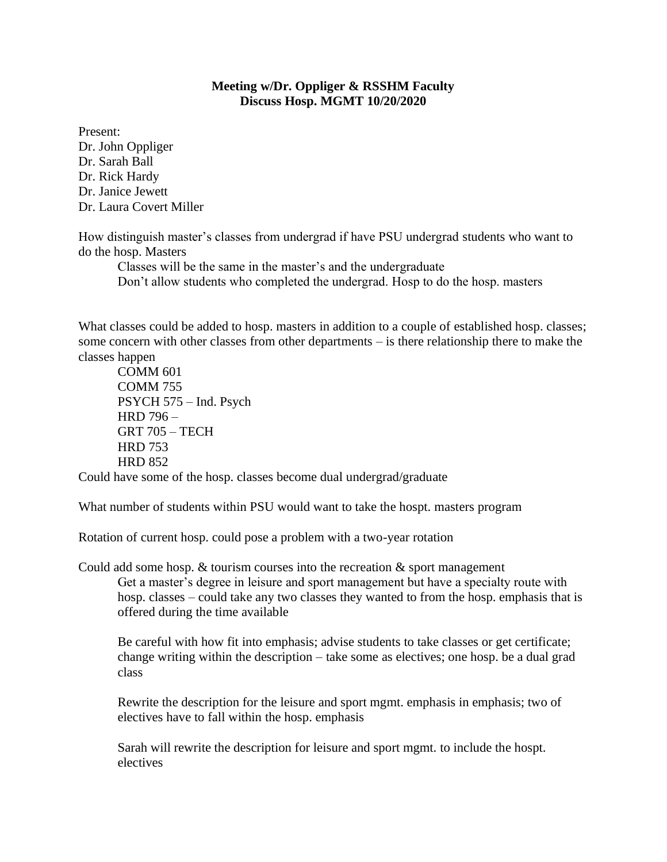#### **Meeting w/Dr. Oppliger & RSSHM Faculty Discuss Hosp. MGMT 10/20/2020**

Present: Dr. John Oppliger Dr. Sarah Ball Dr. Rick Hardy Dr. Janice Jewett Dr. Laura Covert Miller

How distinguish master's classes from undergrad if have PSU undergrad students who want to do the hosp. Masters

Classes will be the same in the master's and the undergraduate Don't allow students who completed the undergrad. Hosp to do the hosp. masters

What classes could be added to hosp. masters in addition to a couple of established hosp. classes; some concern with other classes from other departments – is there relationship there to make the classes happen

COMM 601 COMM 755 PSYCH 575 – Ind. Psych HRD 796 – GRT 705 – TECH HRD 753 HRD 852

Could have some of the hosp. classes become dual undergrad/graduate

What number of students within PSU would want to take the hospt. masters program

Rotation of current hosp. could pose a problem with a two-year rotation

Could add some hosp.  $&$  tourism courses into the recreation  $&$  sport management Get a master's degree in leisure and sport management but have a specialty route with hosp. classes – could take any two classes they wanted to from the hosp. emphasis that is offered during the time available

Be careful with how fit into emphasis; advise students to take classes or get certificate; change writing within the description – take some as electives; one hosp. be a dual grad class

Rewrite the description for the leisure and sport mgmt. emphasis in emphasis; two of electives have to fall within the hosp. emphasis

Sarah will rewrite the description for leisure and sport mgmt. to include the hospt. electives